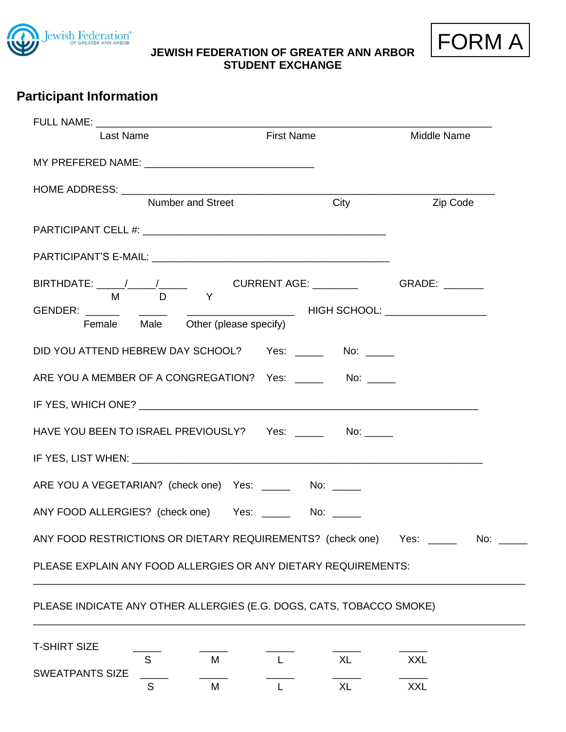

**JEWISH FEDERATION OF GREATER ANN ARBOR STUDENT EXCHANGE**



| Last Name                                                                      | <b>First Name</b> |                           |
|--------------------------------------------------------------------------------|-------------------|---------------------------|
|                                                                                |                   |                           |
| Number and Street                                                              | City              | <b>Example 2</b> Zip Code |
|                                                                                |                   |                           |
|                                                                                |                   |                           |
| M D Y                                                                          |                   |                           |
|                                                                                |                   |                           |
| DID YOU ATTEND HEBREW DAY SCHOOL? Yes: ______ No: _____                        |                   |                           |
| ARE YOU A MEMBER OF A CONGREGATION?  Yes: _______  No: _____                   |                   |                           |
|                                                                                |                   |                           |
| HAVE YOU BEEN TO ISRAEL PREVIOUSLY? Yes: _______ No: _____                     |                   |                           |
|                                                                                |                   |                           |
| ARE YOU A VEGETARIAN? (check one) Yes: _______ No: _____                       |                   |                           |
| ANY FOOD ALLERGIES? (check one) Yes: _______ No: _____                         |                   |                           |
| ANY FOOD RESTRICTIONS OR DIETARY REQUIREMENTS? (check one) Yes: _____ No: ____ |                   |                           |

## PLEASE INDICATE ANY OTHER ALLERGIES (E.G. DOGS, CATS, TOBACCO SMOKE)

| <b>T-SHIRT SIZE</b>    |   |  |  |
|------------------------|---|--|--|
|                        | м |  |  |
| <b>SWEATPANTS SIZE</b> |   |  |  |
|                        | М |  |  |

\_\_\_\_\_\_\_\_\_\_\_\_\_\_\_\_\_\_\_\_\_\_\_\_\_\_\_\_\_\_\_\_\_\_\_\_\_\_\_\_\_\_\_\_\_\_\_\_\_\_\_\_\_\_\_\_\_\_\_\_\_\_\_\_\_\_\_\_\_\_\_\_\_\_\_\_\_\_\_\_\_\_\_\_\_\_\_